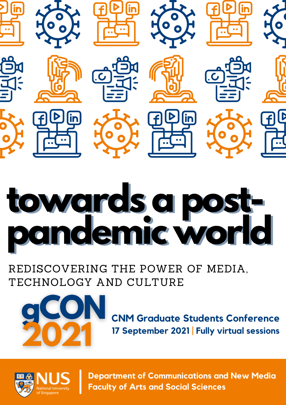

# **towards a postpandemic world towards a postpandemic world**

REDISCOVERING THE POWER OF MEDIA, TECHNOLOGY AND CULTURE



**CNM Graduate Students Conference 17 September 2021 | Fully virtual sessions**



**Department of Communications and New Media Faculty of Arts and Social Sciences**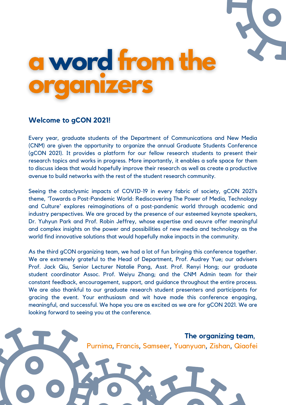



#### **Welcome to gCON 2021!**

Every year, graduate students of the Department of Communications and New Media (CNM) are given the opportunity to organize the annual Graduate Students Conference (gCON 2021). It provides a platform for our fellow research students to present their research topics and works in progress. More importantly, it enables a safe space for them to discuss ideas that would hopefully improve their research as well as create a productive avenue to build networks with the rest of the student research community.

Seeing the cataclysmic impacts of COVID-19 in every fabric of society, gCON 2021's theme, 'Towards a Post-Pandemic World: Rediscovering The Power of Media, Technology and Culture' explores reimaginations of a post-pandemic world through academic and industry perspectives. We are graced by the presence of our esteemed keynote speakers, Dr. Yuhyun Park and Prof. Robin Jeffrey, whose expertise and oeuvre offer meaningful and complex insights on the power and possibilities of new media and technology as the world find innovative solutions that would hopefully make impacts in the community.

As the third gCON organizing team, we had a lot of fun bringing this conference together. We are extremely grateful to the Head of Department, Prof. Audrey Yue; our advisers Prof. Jack Qiu, Senior Lecturer Natalie Pang, Asst. Prof. Renyi Hong; our graduate student coordinator Assoc. Prof. Weiyu Zhang; and the CNM Admin team for their constant feedback, encouragement, support, and guidance throughout the entire process. We are also thankful to our graduate research student presenters and participants for gracing the event. Your enthusiasm and wit have made this conference engaging, meaningful, and successful. We hope you are as excited as we are for gCON 2021. We are looking forward to seeing you at the conference.

> **The organizing team**, Purnima, Francis, Samseer, Yuanyuan, Zishan, Qiaofei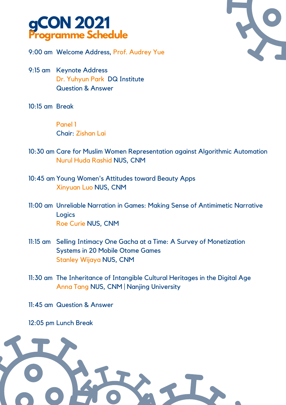



9:00 am Welcome Address, Prof. Audrey Yue

- 9:15 am Keynote Address Dr. Yuhyun Park DQ Institute Question & Answer
- 10:15 am Break

Panel 1 Chair: Zishan Lai

- 10:30 am Care for Muslim Women Representation against Algorithmic Automation Nurul Huda Rashid NUS, CNM
- 10:45 am Young Women's Attitudes toward Beauty Apps Xinyuan Luo NUS, CNM
- 11:00 am Unreliable Narration in Games: Making Sense of Antimimetic Narrative **Logics** Roe Curie NUS, CNM
- 11:15 am Selling Intimacy One Gacha at a Time: A Survey of Monetization Systems in 20 Mobile Otome Games Stanley Wijaya NUS, CNM
- 11:30 am The Inheritance of Intangible Cultural Heritages in the Digital Age Anna Tang NUS, CNM | Nanjing University
- 11:45 am Question & Answer

12:05 pm Lunch Break

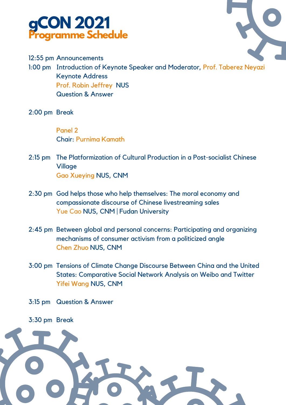



12:55 pm Announcements

1:00 pm Introduction of Keynote Speaker and Moderator, Prof. Taberez Neyazi Keynote Address Prof. Robin Jeffrey NUS Question & Answer

2:00 pm Break

Panel 2 Chair: Purnima Kamath

- 2:15 pm The Platformization of Cultural Production in a Post-socialist Chinese **Village** Gao Xueying NUS, CNM
- 2:30 pm God helps those who help themselves: The moral economy and compassionate discourse of Chinese livestreaming sales Yue Cao NUS, CNM | Fudan University
- 2:45 pm Between global and personal concerns: Participating and organizing mechanisms of consumer activism from a politicized angle Chen Zhuo NUS, CNM
- 3:00 pm Tensions of Climate Change Discourse Between China and the United States: Comparative Social Network Analysis on Weibo and Twitter Yifei Wang NUS, CNM
- 3:15 pm Question & Answer

3:30 pm Break

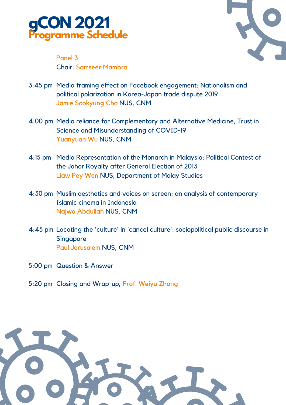



Panel 3 Chair: Samseer Mambra

- 3:45 pm Media framing effect on Facebook engagement: Nationalism and political polarization in Korea-Japan trade dispute 2019 Jamie Sookyung Cho NUS, CNM
- 4:00 pm Media reliance for Complementary and Alternative Medicine, Trust in Science and Misunderstanding of COVID-19 Yuanyuan Wu NUS, CNM
- 4:15 pm Media Representation of the Monarch in Malaysia: Political Contest of the Johor Royalty after General Election of 2013 Liaw Pey Wen NUS, Department of Malay Studies
- 4:30 pm Muslim aesthetics and voices on screen: an analysis of contemporary Islamic cinema in Indonesia Najwa Abdullah NUS, CNM
- 4:45 pm Locating the 'culture' in 'cancel culture': sociopolitical public discourse in **Singapore** Paul Jerusalem NUS, CNM
- 5:00 pm Question & Answer
- 5:20 pm Closing and Wrap-up, Prof. Weiyu Zhang

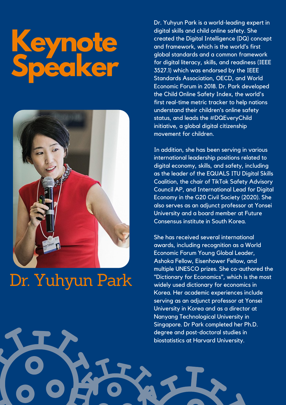# **Keynote Speaker**



# Dr. Yuhyun Park

Dr. Yuhyun Park is a world-leading expert in digital skills and child online safety. She created the Digital Intelligence (DQ) concept and framework, which is the world's first global standards and a common framework for digital literacy, skills, and readiness (IEEE 3527.1) which was endorsed by the IEEE Standards Association, OECD, and World Economic Forum in 2018. Dr. Park developed the Child Online Safety Index, the world's first real-time metric tracker to help nations understand their children's online safety status, and leads the #DQEveryChild initiative, a global digital citizenship movement for children.

In addition, she has been serving in various international leadership positions related to digital economy, skills, and safety, including as the leader of the EQUALS ITU Digital Skills Coalition, the chair of TikTok Safety Advisory Council AP, and International Lead for Digital Economy in the G20 Civil Society (2020). She also serves as an adjunct professor at Yonsei University and a board member at Future Consensus institute in South Korea.

She has received several international awards, including recognition as a World Economic Forum Young Global Leader, Ashoka Fellow, Eisenhower Fellow, and multiple UNESCO prizes. She co-authored the "Dictionary for Economics", which is the most widely used dictionary for economics in Korea. Her academic experiences include serving as an adjunct professor at Yonsei University in Korea and as a director at Nanyang Technological University in Singapore. Dr Park completed her Ph.D. degree and post-doctoral studies in biostatistics at Harvard University.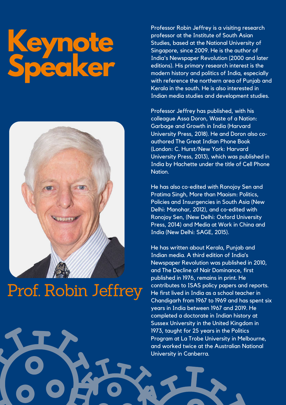# **Keynote Speaker**



# Prof. Robin Jeffrey

Professor Robin Jeffrey is a visiting research professor at the Institute of South Asian Studies, based at the National University of Singapore, since 2009. He is the author of India's Newspaper Revolution (2000 and later editions). His primary research interest is the modern history and politics of India, especially with reference the northern area of Punjab and Kerala in the south. He is also interested in Indian media studies and development studies.

Professor Jeffrey has published, with his colleague Assa Doron, Waste of a Nation: Garbage and Growth in India (Harvard University Press, 2018). He and Doron also coauthored The Great Indian Phone Book (London: C. Hurst/New York: Harvard University Press, 2013), which was published in India by Hachette under the title of Cell Phone Nation.

He has also co-edited with Ronojoy Sen and Pratima Singh, More than Maoism: Politics, Policies and Insurgencies in South Asia (New Delhi: Manohar, 2012), and co-edited with Ronojoy Sen, (New Delhi: Oxford University Press, 2014) and Media at Work in China and India (New Delhi: SAGE, 2015).

He has written about Kerala, Punjab and Indian media. A third edition of India's Newspaper Revolution was published in 2010, and The Decline of Nair Dominance, first published in 1976, remains in print. He contributes to ISAS policy papers and reports. He first lived in India as a school teacher in Chandigarh from 1967 to 1969 and has spent six years in India between 1967 and 2019. He completed a doctorate in Indian history at Sussex University in the United Kingdom in 1973, taught for 25 years in the Politics Program at La Trobe University in Melbourne, and worked twice at the Australian National University in Canberra.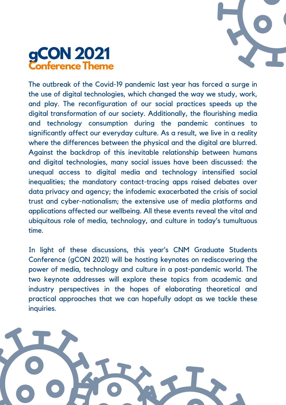



The outbreak of the Covid-19 pandemic last year has forced a surge in the use of digital technologies, which changed the way we study, work, and play. The reconfiguration of our social practices speeds up the digital transformation of our society. Additionally, the flourishing media and technology consumption during the pandemic continues to significantly affect our everyday culture. As a result, we live in a reality where the differences between the physical and the digital are blurred. Against the backdrop of this inevitable relationship between humans and digital technologies, many social issues have been discussed: the unequal access to digital media and technology intensified social inequalities; the mandatory contact-tracing apps raised debates over data privacy and agency; the infodemic exacerbated the crisis of social trust and cyber-nationalism; the extensive use of media platforms and applications affected our wellbeing. All these events reveal the vital and ubiquitous role of media, technology, and culture in today's tumultuous time.

In light of these discussions, this year's CNM Graduate Students Conference (gCON 2021) will be hosting keynotes on rediscovering the power of media, technology and culture in a post-pandemic world. The two keynote addresses will explore these topics from academic and industry perspectives in the hopes of elaborating theoretical and practical approaches that we can hopefully adopt as we tackle these inquiries.

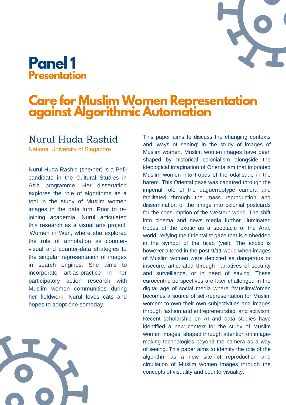# **Care for MuslimWomen Representation against Algorithmic Automation**

#### Nurul Huda Rashid

National University of Singapore

Nurul Huda Rashid (she/her) is a PhD candidate in the Cultural Studies in Asia programme. Her dissertation explores the role of algorithms as a tool in the study of Muslim women images in the data turn. Prior to rejoining academia, Nurul articulated this research as a visual arts project, 'Women in War', where she explored the role of annotation as countervisual and counter-data strategies to the singular representation of images in search engines. She aims to incorporate art-as-practice in her participatory action research with Muslim women communities during her fieldwork. Nurul loves cats and hopes to adopt one someday.

This paper aims to discuss the changing contexts and 'ways of seeing' in the study of images of Muslim women. Muslim women images have been shaped by historical colonialism alongside the ideological imagination of Orientalism that imprinted Muslim women into tropes of the odalisque in the harem. This Oriental gaze was captured through the imperial role of the daguerreotype camera and facilitated through the mass reproduction and dissemination of the image into colonial postcards for the consumption of the Western world. The shift into cinema and news media further illuminated tropes of the exotic as a spectacle of the Arab world, reifying the Orientalist gaze that is embedded in the symbol of the hijab (veil). The exotic is however altered in the post-9/11 world when images of Muslim women were depicted as dangerous or insecure, articulated through narratives of security and surveillance, or in need of saving. These eurocentric perspectives are later challenged in the digital age of social media where #MuslimWomen becomes a source of self-representation for Muslim women: to own their own subjectivities and images through fashion and entrepreneurship, and activism. Recent scholarship on AI and data studies have identified a new context for the study of Muslim women images, shaped through attention on imagemaking technologies beyond the camera as a way of seeing. This paper aims to identity the role of the algorithm as a new site of reproduction and circulation of Muslim women images through the concepts of visuality and countervisuality.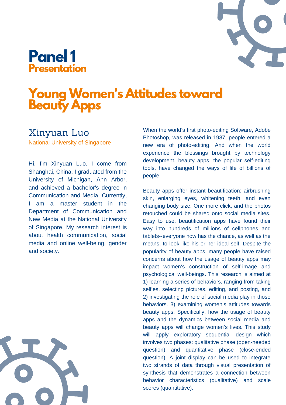

# **YoungWomen's Attitudes toward Beauty Apps**

#### Xinyuan Luo

National University of Singapore

Hi, I'm Xinyuan Luo. I come from Shanghai, China. I graduated from the University of Michigan, Ann Arbor, and achieved a bachelor's degree in Communication and Media. Currently, I am a master student in the Department of Communication and New Media at the National University of Singapore. My research interest is about health communication, social media and online well-being, gender and society.

When the world's first photo-editing Software, Adobe Photoshop, was released in 1987, people entered a new era of photo-editing. And when the world experience the blessings brought by technology development, beauty apps, the popular self-editing tools, have changed the ways of life of billions of people.

Beauty apps offer instant beautification: airbrushing skin, enlarging eyes, whitening teeth, and even changing body size. One more click, and the photos retouched could be shared onto social media sites. Easy to use, beautification apps have found their way into hundreds of millions of cellphones and tablets--everyone now has the chance, as well as the means, to look like his or her ideal self. Despite the popularity of beauty apps, many people have raised concerns about how the usage of beauty apps may impact women's construction of self-image and psychological well-beings. This research is aimed at 1) learning a series of behaviors, ranging from taking selfies, selecting pictures, editing, and posting, and 2) investigating the role of social media play in those behaviors. 3) examining women's attitudes towards beauty apps. Specifically, how the usage of beauty apps and the dynamics between social media and beauty apps will change women's lives. This study will apply exploratory sequential design which involves two phases: qualitative phase (open-needed question) and quantitative phase (close-ended question). A joint display can be used to integrate two strands of data through visual presentation of synthesis that demonstrates a connection between behavior characteristics (qualitative) and scale scores (quantitative).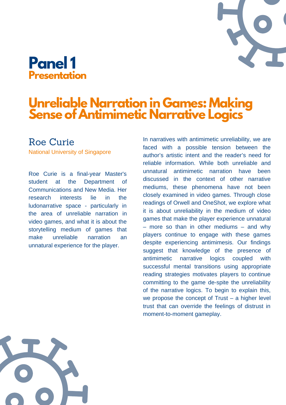# **Unreliable Narration in Games: Making Sense of Antimimetic Narrative Logics**

#### Roe Curie

National University of Singapore

Roe Curie is a final-year Master's student at the Department of Communications and New Media. Her research interests lie in the ludonarrative space - particularly in the area of unreliable narration in video games, and what it is about the storytelling medium of games that make unreliable narration an unnatural experience for the player.

In narratives with antimimetic unreliability, we are faced with a possible tension between the author's artistic intent and the reader's need for reliable information. While both unreliable and unnatural antimimetic narration have been discussed in the context of other narrative mediums, these phenomena have not been closely examined in video games. Through close readings of Orwell and OneShot, we explore what it is about unreliability in the medium of video games that make the player experience unnatural – more so than in other mediums – and why players continue to engage with these games despite experiencing antimimesis. Our findings suggest that knowledge of the presence of antimimetic narrative logics coupled with successful mental transitions using appropriate reading strategies motivates players to continue committing to the game de-spite the unreliability of the narrative logics. To begin to explain this, we propose the concept of Trust – a higher level trust that can override the feelings of distrust in moment-to-moment gameplay.

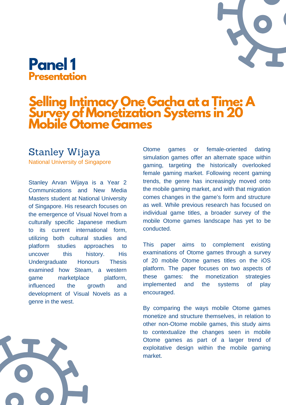# **Selling Intimacy One Gacha at a Time: A Survey of Monetization Systems in 20 Mobile Otome Games**

#### [Stanley](https://p.gcon.one/orga/event/2021/speakers/24/) Wijaya

National University of Singapore

Stanley Arvan Wijaya is a Year 2 Communications and New Media Masters student at National University of Singapore. His research focuses on the emergence of Visual Novel from a culturally specific Japanese medium to its current international form, utilizing both cultural studies and platform studies approaches to uncover this history. His Undergraduate Honours Thesis examined how Steam, a western game marketplace platform, influenced the growth and development of Visual Novels as a genre in the west.

Otome games or female-oriented dating simulation games offer an alternate space within gaming, targeting the historically overlooked female gaming market. Following recent gaming trends, the genre has increasingly moved onto the mobile gaming market, and with that migration comes changes in the game's form and structure as well. While previous research has focused on individual game titles, a broader survey of the mobile Otome games landscape has yet to be conducted.

This paper aims to complement existing examinations of Otome games through a survey of 20 mobile Otome games titles on the iOS platform. The paper focuses on two aspects of these games: the monetization strategies implemented and the systems of play encouraged.

By comparing the ways mobile Otome games monetize and structure themselves, in relation to other non-Otome mobile games, this study aims to contextualize the changes seen in mobile Otome games as part of a larger trend of exploitative design within the mobile gaming market.

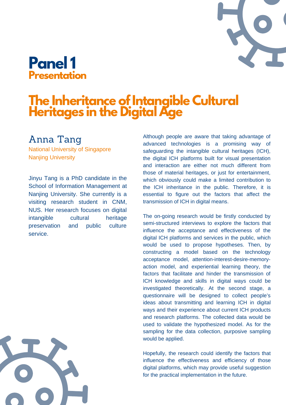

# **The Inheritance ofIntangible Cultural Heritages in the Digital Age**

#### [Anna](https://p.gcon.one/orga/event/2021/speakers/45/) Tang

National University of Singapore Nanjing University

Jinyu Tang is a PhD candidate in the School of Information Management at Nanjing University. She currently is a visiting research student in CNM, NUS. Her research focuses on digital intangible cultural heritage preservation and public culture service.

Although people are aware that taking advantage of advanced technologies is a promising way of safeguarding the intangible cultural heritages (ICH), the digital ICH platforms built for visual presentation and interaction are either not much different from those of material heritages, or just for entertainment, which obviously could make a limited contribution to the ICH inheritance in the public. Therefore, it is essential to figure out the factors that affect the transmission of ICH in digital means.

The on-going research would be firstly conducted by semi-structured interviews to explore the factors that influence the acceptance and effectiveness of the digital ICH platforms and services in the public, which would be used to propose hypotheses. Then, by constructing a model based on the technology acceptance model, attention-interest-desire-memoryaction model, and experiential learning theory, the factors that facilitate and hinder the transmission of ICH knowledge and skills in digital ways could be investigated theoretically. At the second stage, a questionnaire will be designed to collect people's ideas about transmitting and learning ICH in digital ways and their experience about current ICH products and research platforms. The collected data would be used to validate the hypothesized model. As for the sampling for the data collection, purposive sampling would be applied.

Hopefully, the research could identify the factors that influence the effectiveness and efficiency of those digital platforms, which may provide useful suggestion for the practical implementation in the future.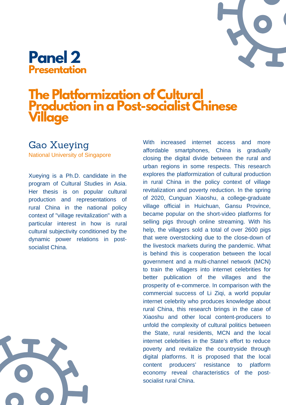

# **The Platformization of Cultural Production in a Post-socialist Chinese Village**

#### Gao [Xueying](https://p.gcon.one/orga/event/2021/speakers/46/)

National University of Singapore

Xueying is a Ph.D. candidate in the program of Cultural Studies in Asia. Her thesis is on popular cultural production and representations of rural China in the national policy context of "village revitalization" with a particular interest in how is rural cultural subjectivity conditioned by the dynamic power relations in postsocialist China.

With increased internet access and more affordable smartphones, China is gradually closing the digital divide between the rural and urban regions in some respects. This research explores the platformization of cultural production in rural China in the policy context of village revitalization and poverty reduction. In the spring of 2020, Cunguan Xiaoshu, a college-graduate village official in Huichuan, Gansu Province, became popular on the short-video platforms for selling pigs through online streaming. With his help, the villagers sold a total of over 2600 pigs that were overstocking due to the close-down of the livestock markets during the pandemic. What is behind this is cooperation between the local government and a multi-channel network (MCN) to train the villagers into internet celebrities for better publication of the villages and the prosperity of e-commerce. In comparison with the commercial success of Li Ziqi, a world popular internet celebrity who produces knowledge about rural China, this research brings in the case of Xiaoshu and other local content-producers to unfold the complexity of cultural politics between the State, rural residents, MCN and the local internet celebrities in the State's effort to reduce poverty and revitalize the countryside through digital platforms. It is proposed that the local content producers' resistance to platform economy reveal characteristics of the postsocialist rural China.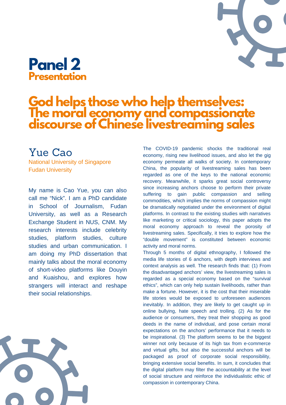

#### **God helps those who help themselves: The moral economy and compassionate discourse of Chinese livestreaming sales**

#### [Yue](https://p.gcon.one/orga/event/2021/speakers/46/) Cao

National University of Singapore Fudan University

My name is Cao Yue, you can also call me "Nick". I am a PhD candidate in School of Journalism, Fudan University, as well as a Research Exchange Student in NUS, CNM. My research interests include celebrity studies, platform studies, culture studies and urban communication. I am doing my PhD dissertation that mainly talks about the moral economy of short-video platforms like Douyin and Kuaishou, and explores how strangers will interact and reshape their social relationships.



The COVID-19 pandemic shocks the traditional real economy, rising new livelihood issues, and also let the gig economy permeate all walks of society. In contemporary China, the popularity of livestreaming sales has been regarded as one of the keys to the national economic recovery. Meanwhile, it sparks great social controversy since increasing anchors choose to perform their private suffering to gain public compassion and selling commodities, which implies the norms of compassion might be dramatically negotiated under the environment of digital platforms. In contrast to the existing studies with narratives like marketing or critical sociology, this paper adopts the moral economy approach to reveal the porosity of livestreaming sales. Specifically, it tries to explore how the "double movement" is constituted between economic activity and moral norms.

Through 5 months of digital ethnography, I followed the media life stories of 6 anchors, with depth interviews and context analysis as well. The research finds that: (1) From the disadvantaged anchors' view, the livestreaming sales is regarded as a special economy based on the "survival ethics", which can only help sustain livelihoods, rather than make a fortune. However, it is the cost that their miserable life stories would be exposed to unforeseen audiences inevitably. In addition, they are likely to get caught up in online bullying, hate speech and trolling. (2) As for the audience or consumers, they treat their shopping as good deeds in the name of individual, and pose certain moral expectations on the anchors' performance that it needs to be inspirational. (3) The platform seems to be the biggest winner not only because of its high tax from e-commerce and virtual gifts, but also the successful anchors will be packaged as proof of corporate social responsibility, bringing extensive social benefits. In sum, it concludes that the digital platform may filter the accountability at the level of social structure and reinforce the individualistic ethic of compassion in contemporary China.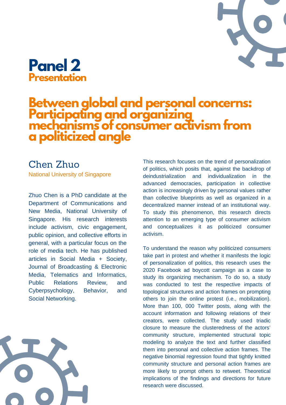#### **Between global and personal concerns: Participating and organizing mechanisms of consumer activism from a politicized angle**

#### [Chen](https://p.gcon.one/orga/event/2021/speakers/46/) Zhuo

National University of Singapore

Zhuo Chen is a PhD candidate at the Department of Communications and New Media, National University of Singapore. His research interests include activism, civic engagement, public opinion, and collective efforts in general, with a particular focus on the role of media tech. He has published articles in Social Media + Society, Journal of Broadcasting & Electronic Media, Telematics and Informatics, Public Relations Review, and Cyberpsychology, Behavior, and Social Networking.

This research focuses on the trend of personalization of politics, which posits that, against the backdrop of deindustrialization and individualization in the advanced democracies, participation in collective action is increasingly driven by personal values rather than collective blueprints as well as organized in a decentralized manner instead of an institutional way. To study this phenomenon, this research directs attention to an emerging type of consumer activism and conceptualizes it as politicized consumer activism.

To understand the reason why politicized consumers take part in protest and whether it manifests the logic of personalization of politics, this research uses the 2020 Facebook ad boycott campaign as a case to study its organizing mechanism. To do so, a study was conducted to test the respective impacts of topological structures and action frames on prompting others to join the online protest (i.e., mobilization). More than 100, 000 Twitter posts, along with the account information and following relations of their creators, were collected. The study used triadic closure to measure the clusteredness of the actors' community structure, implemented structural topic modeling to analyze the text and further classified them into personal and collective action frames. The negative binomial regression found that tightly knitted community structure and personal action frames are more likely to prompt others to retweet. Theoretical implications of the findings and directions for future research were discussed.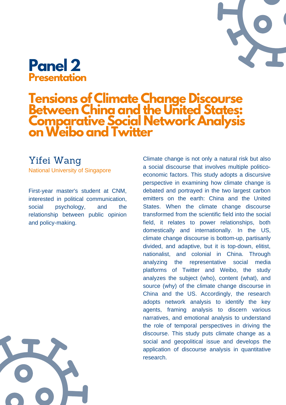#### **Tensions of Climate Change Discourse Between China and the United States: Comparative Social Network Analysis onWeibo and Twitter**

#### Yifei [Wang](https://p.gcon.one/orga/event/2021/speakers/46/)

National University of Singapore

First-year master's student at CNM, interested in political communication, social psychology, and the relationship between public opinion and policy-making.

economic factors. This study adopts a discursive perspective in examining how climate change is debated and portrayed in the two largest carbon emitters on the earth: China and the United States. When the climate change discourse transformed from the scientific field into the social field, it relates to power relationships, both domestically and internationally. In the US, climate change discourse is bottom-up, partisanly divided, and adaptive, but it is top-down, elitist, nationalist, and colonial in China. Through analyzing the representative social media platforms of Twitter and Weibo, the study analyzes the subject (who), content (what), and source (why) of the climate change discourse in China and the US. Accordingly, the research adopts network analysis to identify the key agents, framing analysis to discern various narratives, and emotional analysis to understand the role of temporal perspectives in driving the discourse. This study puts climate change as a social and geopolitical issue and develops the application of discourse analysis in quantitative research.

Climate change is not only a natural risk but also a social discourse that involves multiple politico-

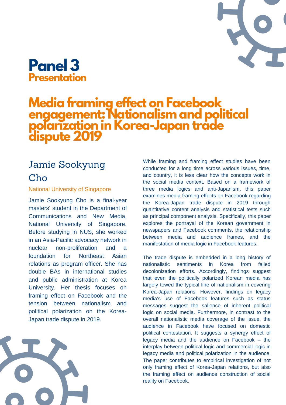#### **Media framing effect on Facebook engagement: Nationalism and political polarization in Korea-Japan trade dispute 2019**

#### Jamie [Sookyung](https://p.gcon.one/orga/event/2021/speakers/46/) [Cho](https://p.gcon.one/orga/event/2021/speakers/46/)

#### National University of Singapore

Jamie Sookyung Cho is a final-year masters' student in the Department of Communications and New Media, National University of Singapore. Before studying in NUS, she worked in an Asia-Pacific advocacy network in nuclear non-proliferation and a foundation for Northeast Asian relations as program officer. She has double BAs in international studies and public administration at Korea University. Her thesis focuses on framing effect on Facebook and the tension between nationalism and political polarization on the Korea-Japan trade dispute in 2019.



While framing and framing effect studies have been conducted for a long time across various issues, time, and country, it is less clear how the concepts work in the social media context. Based on a framework of three media logics and anti-Japanism, this paper examines media framing effects on Facebook regarding the Korea-Japan trade dispute in 2019 through quantitative content analysis and statistical tests such as principal component analysis. Specifically, this paper explores the portrayal of the Korean government in newspapers and Facebook comments, the relationship between media and audience frames, and the manifestation of media logic in Facebook features.

The trade dispute is embedded in a long history of nationalistic sentiments in Korea from failed decolonization efforts. Accordingly, findings suggest that even the politically polarized Korean media has largely towed the typical line of nationalism in covering Korea-Japan relations. However, findings on legacy media's use of Facebook features such as status messages suggest the salience of inherent political logic on social media. Furthermore, in contrast to the overall nationalistic media coverage of the issue, the audience in Facebook have focused on domestic political contestation. It suggests a synergy effect of legacy media and the audience on Facebook – the interplay between political logic and commercial logic in legacy media and political polarization in the audience. The paper contributes to empirical investigation of not only framing effect of Korea-Japan relations, but also the framing effect on audience construction of social reality on Facebook.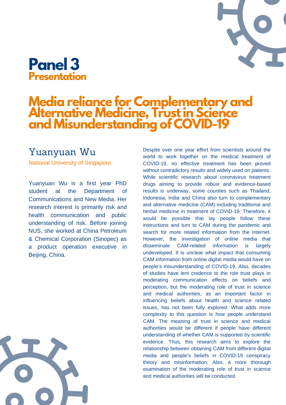# **Media reliance for Complementary and Alternative Medicine, Trustin Science and Misunderstanding of COVID-19**

#### [Yuanyuan](https://p.gcon.one/orga/event/2021/speakers/46/) Wu

National University of Singapore

Yuanyuan Wu is a first year PhD student at the Department of Communications and New Media. Her research interest is primarily risk and health communication and public understanding of risk. Before joining NUS, she worked at China Petroleum & Chemical Corporation (Sinopec) as a product operation executive in Beijing, China.



Despite over one year effort from scientists around the world to work together on the medical treatment of COVID-19, no effective treatment has been proved without contradictory results and widely used on patients. While scientific research about coronavirus treatment drugs aiming to provide robust and evidence-based results is underway, some counties such as Thailand, Indonesia, India and China also turn to complementary and alternative medicine (CAM) including traditional and herbal medicine in treatment of COVID-19. Therefore, it would be possible that lay people follow these instructions and turn to CAM during the pandemic and search for more related information from the Internet. However, the investigation of online media that disseminate CAM-related information is largely undeveloped. It is unclear what impact that consuming CAM information from online digital media would have on people's misunderstanding of COVID-19. Also, decades of studies have lent credence to the role trust plays in moderating communication effects on beliefs and perception, but the moderating role of trust in science and medical authorities, as an important factor in influencing beliefs about health and science related issues, has not been fully explored. What adds more complexity to this question is how people understand CAM. The meaning of trust in science and medical authorities would be different if people have different understanding of whether CAM is supported by scientific evidence. Thus, this research aims to explore the relationship between obtaining CAM from different digital media and people's beliefs in COVID-19 conspiracy theory and misinformation. Also, a more thorough examination of the moderating role of trust in science and medical authorities will be conducted.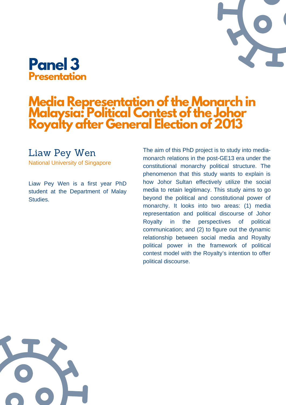

### **Media Representation ofthe Monarch in Malaysia: Political Contest ofthe Johor Royalty after General Election of 2013**

#### [Liaw](https://p.gcon.one/orga/event/2021/speakers/46/) Pey Wen

National University of Singapore

Liaw Pey Wen is a first year PhD student at the Department of Malay Studies.

The aim of this PhD project is to study into mediamonarch relations in the post-GE13 era under the constitutional monarchy political structure. The phenomenon that this study wants to explain is how Johor Sultan effectively utilize the social media to retain legitimacy. This study aims to go beyond the political and constitutional power of monarchy. It looks into two areas: (1) media representation and political discourse of Johor Royalty in the perspectives of political communication; and (2) to figure out the dynamic relationship between social media and Royalty political power in the framework of political contest model with the Royalty's intention to offer political discourse.

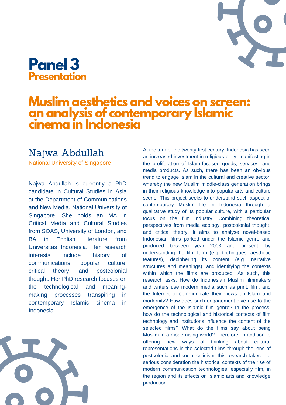# **Muslim aesthetics and voices on screen: an analysis of contemporary Islamic cinema in Indonesia**

#### Najwa [Abdullah](https://p.gcon.one/orga/event/2021/speakers/46/)

National University of Singapore

Najwa Abdullah is currently a PhD candidate in Cultural Studies in Asia at the Department of Communications and New Media, National University of Singapore. She holds an MA in Critical Media and Cultural Studies from SOAS, University of London, and BA in English Literature from Universitas Indonesia. Her research interests include history of communications, popular culture, critical theory, and postcolonial thought. Her PhD research focuses on the technological and meaningmaking processes transpiring in contemporary Islamic cinema in Indonesia.



At the turn of the twenty-first century, Indonesia has seen an increased investment in religious piety, manifesting in the proliferation of Islam-focused goods, services, and media products. As such, there has been an obvious trend to engage Islam in the cultural and creative sector, whereby the new Muslim middle-class generation brings in their religious knowledge into popular arts and culture scene. This project seeks to understand such aspect of contemporary Muslim life in Indonesia through a qualitative study of its popular culture, with a particular focus on the film industry. Combining theoretical perspectives from media ecology, postcolonial thought, and critical theory, it aims to analyse novel-based Indonesian films parked under the Islamic genre and produced between year 2003 and present, by understanding the film form (e.g. techniques, aesthetic features), deciphering its content (e.g. narrative structures and meanings), and identifying the contexts within which the films are produced. As such, this research asks: How do Indonesian Muslim filmmakers and writers use modern media such as print, film, and the Internet to communicate their views on Islam and modernity? How does such engagement give rise to the emergence of the Islamic film genre? In the process, how do the technological and historical contexts of film technology and institutions influence the content of the selected films? What do the films say about being Muslim in a modernising world? Therefore, in addition to offering new ways of thinking about cultural representations in the selected films through the lens of postcolonial and social criticism, this research takes into serious consideration the historical contexts of the rise of modern communication technologies, especially film, in the region and its effects on Islamic arts and knowledge production.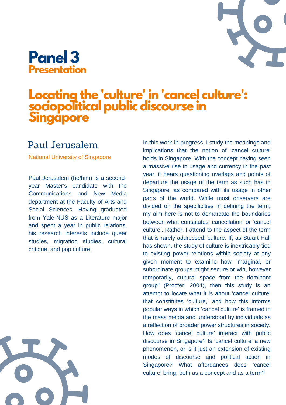

# **Locating the 'culture' in 'cancel culture': sociopolitical public discourse in Singapore**

#### Paul [Jerusalem](https://p.gcon.one/orga/event/2021/speakers/46/)

National University of Singapore

Paul Jerusalem (he/him) is a secondyear Master's candidate with the Communications and New Media department at the Faculty of Arts and Social Sciences. Having graduated from Yale-NUS as a Literature major and spent a year in public relations, his research interests include queer studies, migration studies, cultural critique, and pop culture.

In this work-in-progress, I study the meanings and implications that the notion of 'cancel culture' holds in Singapore. With the concept having seen a massive rise in usage and currency in the past year, it bears questioning overlaps and points of departure the usage of the term as such has in Singapore, as compared with its usage in other parts of the world. While most observers are divided on the specificities in defining the term, my aim here is not to demarcate the boundaries between what constitutes 'cancellation' or 'cancel culture'. Rather, I attend to the aspect of the term that is rarely addressed: culture. If, as Stuart Hall has shown, the study of culture is inextricably tied to existing power relations within society at any given moment to examine how "marginal, or subordinate groups might secure or win, however temporarily, cultural space from the dominant group" (Procter, 2004), then this study is an attempt to locate what it is about 'cancel culture' that constitutes 'culture,' and how this informs popular ways in which 'cancel culture' is framed in the mass media and understood by individuals as a reflection of broader power structures in society. How does 'cancel culture' interact with public discourse in Singapore? Is 'cancel culture' a new phenomenon, or is it just an extension of existing modes of discourse and political action in Singapore? What affordances does 'cancel culture' bring, both as a concept and as a term?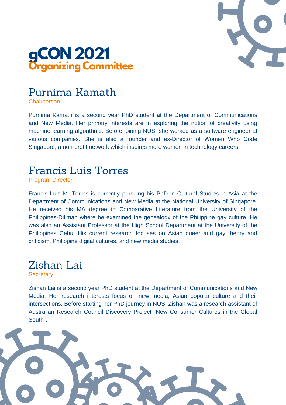



#### [Purnima](https://p.gcon.one/orga/event/2021/speakers/46/) Kamath

**Chairperson** 

Purnima Kamath is a second year PhD student at the Department of Communications and New Media. Her primary interests are in exploring the notion of creativity using machine learning algorithms. Before joining NUS, she worked as a software engineer at various companies. She is also a founder and ex-Director of Women Who Code Singapore, a non-profit network which inspires more women in technology careers.

#### Francis Luis Torres

Program Director

Francis Luis M. Torres is currently pursuing his PhD in Cultural Studies in Asia at the Department of Communications and New Media at the National University of Singapore. He received his MA degree in Comparative Literature from the University of the Philippines-Diliman where he examined the genealogy of the Philippine gay culture. He was also an Assistant Professor at the High School Department at the University of the Philippines Cebu. His current research focuses on Asian queer and gay theory and criticism, Philippine digital cultures, and new media studies.

# Zishan Lai

**Secretary** 

Zishan Lai is a second year PhD student at the Department of Communications and New Media. Her research interests focus on new media, Asian popular culture and their intersections. Before starting her PhD journey in NUS, Zishan was a research assistant of Australian Research Council Discovery Project "New Consumer Cultures in the Global South".

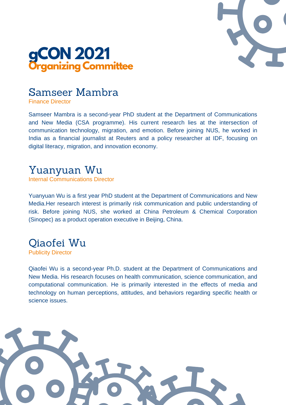



#### [Samseer](https://p.gcon.one/orga/event/2021/speakers/46/) Mambra

Finance Director

Samseer Mambra is a second-year PhD student at the Department of Communications and New Media (CSA programme). His current research lies at the intersection of communication technology, migration, and emotion. Before joining NUS, he worked in India as a financial journalist at Reuters and a policy researcher at IDF, focusing on digital literacy, migration, and innovation economy.

#### Yuanyuan Wu

Internal Communications Director

Yuanyuan Wu is a first year PhD student at the Department of Communications and New Media.Her research interest is primarily risk communication and public understanding of risk. Before joining NUS, she worked at China Petroleum & Chemical Corporation (Sinopec) as a product operation executive in Beijing, China.

#### Qiaofei Wu

Publicity Director

Qiaofei Wu is a second-year Ph.D. student at the Department of Communications and New Media. His research focuses on health communication, science communication, and computational communication. He is primarily interested in the effects of media and technology on human perceptions, attitudes, and behaviors regarding specific health or science issues.